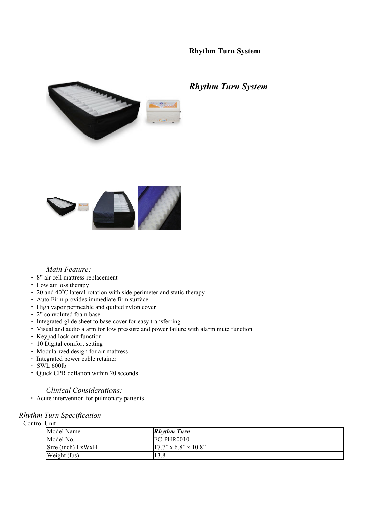# **Rhythm Turn System**



# *Rhythm Turn System*



## *Main Feature:*

- \* 8" air cell mattress replacement
- \* Low air loss therapy
- \* 20 and 40°C lateral rotation with side perimeter and static therapy
- \* Auto Firm provides immediate firm surface
- \* High vapor permeable and quilted nylon cover
- \* 2" convoluted foam base
- \* Integrated glide sheet to base cover for easy transferring
- \* Visual and audio alarm for low pressure and power failure with alarm mute function
- \* Keypad lock out function
- \* 10 Digital comfort setting
- \* Modularized design for air mattress
- \* Integrated power cable retainer
- \* SWL 600lb
- \* Quick CPR deflation within 20 seconds

#### *Clinical Considerations:*

\* Acute intervention for pulmonary patients

## *Rhythm Turn Specification*

Control Unit

| ◡…                |                         |
|-------------------|-------------------------|
| Model Name        | <b>Rhythm Turn</b>      |
| Model No.         | $FC-PHR0010$            |
| Size (inch) LxWxH | $17.7$ " x 6.8" x 10.8" |
| Weight (lbs)      | 13.8                    |